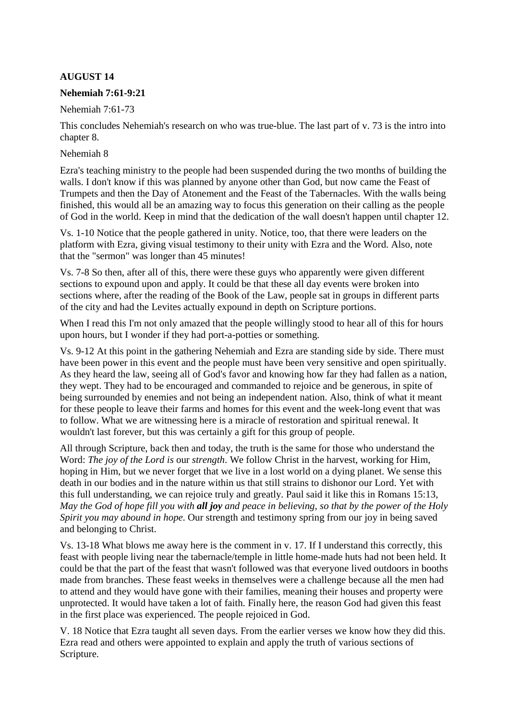# **AUGUST 14**

### **Nehemiah 7:61-9:21**

Nehemiah 7:61-73

This concludes Nehemiah's research on who was true-blue. The last part of v. 73 is the intro into chapter 8.

#### Nehemiah 8

Ezra's teaching ministry to the people had been suspended during the two months of building the walls. I don't know if this was planned by anyone other than God, but now came the Feast of Trumpets and then the Day of Atonement and the Feast of the Tabernacles. With the walls being finished, this would all be an amazing way to focus this generation on their calling as the people of God in the world. Keep in mind that the dedication of the wall doesn't happen until chapter 12.

Vs. 1-10 Notice that the people gathered in unity. Notice, too, that there were leaders on the platform with Ezra, giving visual testimony to their unity with Ezra and the Word. Also, note that the "sermon" was longer than 45 minutes!

Vs. 7-8 So then, after all of this, there were these guys who apparently were given different sections to expound upon and apply. It could be that these all day events were broken into sections where, after the reading of the Book of the Law, people sat in groups in different parts of the city and had the Levites actually expound in depth on Scripture portions.

When I read this I'm not only amazed that the people willingly stood to hear all of this for hours upon hours, but I wonder if they had port-a-potties or something.

Vs. 9-12 At this point in the gathering Nehemiah and Ezra are standing side by side. There must have been power in this event and the people must have been very sensitive and open spiritually. As they heard the law, seeing all of God's favor and knowing how far they had fallen as a nation, they wept. They had to be encouraged and commanded to rejoice and be generous, in spite of being surrounded by enemies and not being an independent nation. Also, think of what it meant for these people to leave their farms and homes for this event and the week-long event that was to follow. What we are witnessing here is a miracle of restoration and spiritual renewal. It wouldn't last forever, but this was certainly a gift for this group of people.

All through Scripture, back then and today, the truth is the same for those who understand the Word: *The joy of the Lord is* our *strength*. We follow Christ in the harvest, working for Him, hoping in Him, but we never forget that we live in a lost world on a dying planet. We sense this death in our bodies and in the nature within us that still strains to dishonor our Lord. Yet with this full understanding, we can rejoice truly and greatly. Paul said it like this in Romans 15:13, *May the God of hope fill you with all joy and peace in believing, so that by the power of the Holy Spirit you may abound in hope*. Our strength and testimony spring from our joy in being saved and belonging to Christ.

Vs. 13-18 What blows me away here is the comment in v. 17. If I understand this correctly, this feast with people living near the tabernacle/temple in little home-made huts had not been held. It could be that the part of the feast that wasn't followed was that everyone lived outdoors in booths made from branches. These feast weeks in themselves were a challenge because all the men had to attend and they would have gone with their families, meaning their houses and property were unprotected. It would have taken a lot of faith. Finally here, the reason God had given this feast in the first place was experienced. The people rejoiced in God.

V. 18 Notice that Ezra taught all seven days. From the earlier verses we know how they did this. Ezra read and others were appointed to explain and apply the truth of various sections of Scripture.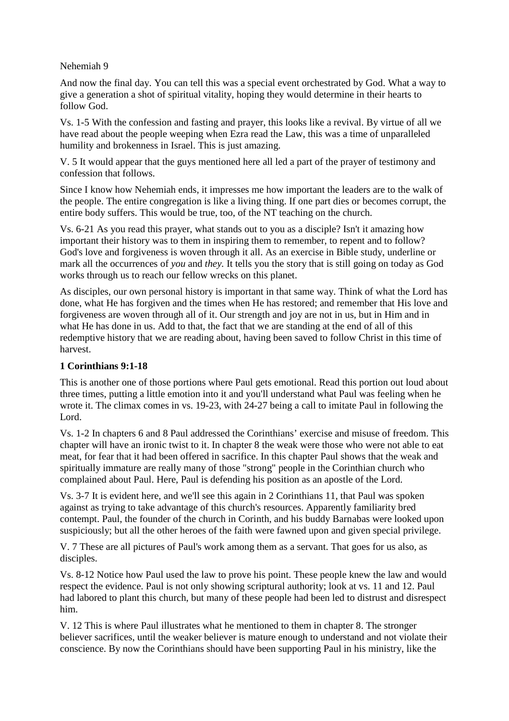#### Nehemiah 9

And now the final day. You can tell this was a special event orchestrated by God. What a way to give a generation a shot of spiritual vitality, hoping they would determine in their hearts to follow God.

Vs. 1-5 With the confession and fasting and prayer, this looks like a revival. By virtue of all we have read about the people weeping when Ezra read the Law, this was a time of unparalleled humility and brokenness in Israel. This is just amazing.

V. 5 It would appear that the guys mentioned here all led a part of the prayer of testimony and confession that follows.

Since I know how Nehemiah ends, it impresses me how important the leaders are to the walk of the people. The entire congregation is like a living thing. If one part dies or becomes corrupt, the entire body suffers. This would be true, too, of the NT teaching on the church.

Vs. 6-21 As you read this prayer, what stands out to you as a disciple? Isn't it amazing how important their history was to them in inspiring them to remember, to repent and to follow? God's love and forgiveness is woven through it all. As an exercise in Bible study, underline or mark all the occurrences of *you* and *they.* It tells you the story that is still going on today as God works through us to reach our fellow wrecks on this planet.

As disciples, our own personal history is important in that same way. Think of what the Lord has done, what He has forgiven and the times when He has restored; and remember that His love and forgiveness are woven through all of it. Our strength and joy are not in us, but in Him and in what He has done in us. Add to that, the fact that we are standing at the end of all of this redemptive history that we are reading about, having been saved to follow Christ in this time of harvest.

### **1 Corinthians 9:1-18**

This is another one of those portions where Paul gets emotional. Read this portion out loud about three times, putting a little emotion into it and you'll understand what Paul was feeling when he wrote it. The climax comes in vs. 19-23, with 24-27 being a call to imitate Paul in following the Lord.

Vs. 1-2 In chapters 6 and 8 Paul addressed the Corinthians' exercise and misuse of freedom. This chapter will have an ironic twist to it. In chapter 8 the weak were those who were not able to eat meat, for fear that it had been offered in sacrifice. In this chapter Paul shows that the weak and spiritually immature are really many of those "strong" people in the Corinthian church who complained about Paul. Here, Paul is defending his position as an apostle of the Lord.

Vs. 3-7 It is evident here, and we'll see this again in 2 Corinthians 11, that Paul was spoken against as trying to take advantage of this church's resources. Apparently familiarity bred contempt. Paul, the founder of the church in Corinth, and his buddy Barnabas were looked upon suspiciously; but all the other heroes of the faith were fawned upon and given special privilege.

V. 7 These are all pictures of Paul's work among them as a servant. That goes for us also, as disciples.

Vs. 8-12 Notice how Paul used the law to prove his point. These people knew the law and would respect the evidence. Paul is not only showing scriptural authority; look at vs. 11 and 12. Paul had labored to plant this church, but many of these people had been led to distrust and disrespect him.

V. 12 This is where Paul illustrates what he mentioned to them in chapter 8. The stronger believer sacrifices, until the weaker believer is mature enough to understand and not violate their conscience. By now the Corinthians should have been supporting Paul in his ministry, like the